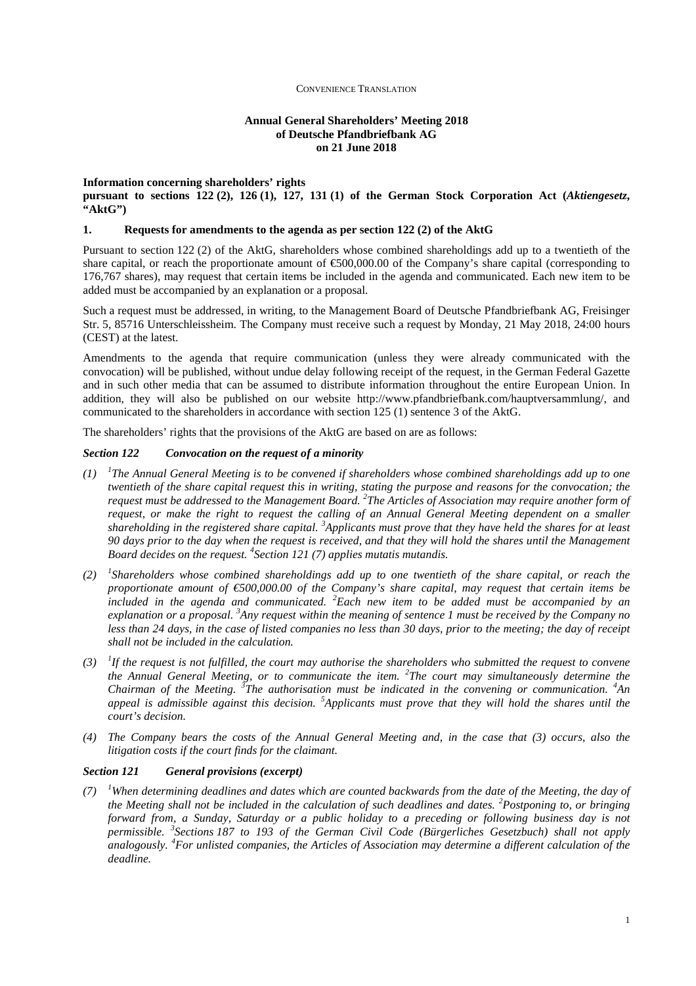# **Annual General Shareholders' Meeting 2018 of Deutsche Pfandbriefbank AG on 21 June 2018**

#### **Information concerning shareholders' rights**

**pursuant to sections 122 (2), 126 (1), 127, 131 (1) of the German Stock Corporation Act (***Aktiengesetz***, "AktG")**

# **1. Requests for amendments to the agenda as per section 122 (2) of the AktG**

Pursuant to section 122 (2) of the AktG, shareholders whose combined shareholdings add up to a twentieth of the share capital, or reach the proportionate amount of  $\epsilon$ 500,000.00 of the Company's share capital (corresponding to 176,767 shares), may request that certain items be included in the agenda and communicated. Each new item to be added must be accompanied by an explanation or a proposal.

Such a request must be addressed, in writing, to the Management Board of Deutsche Pfandbriefbank AG, Freisinger Str. 5, 85716 Unterschleissheim. The Company must receive such a request by Monday, 21 May 2018, 24:00 hours (CEST) at the latest.

Amendments to the agenda that require communication (unless they were already communicated with the convocation) will be published, without undue delay following receipt of the request, in the German Federal Gazette and in such other media that can be assumed to distribute information throughout the entire European Union. In addition, they will also be published on our website http://www.pfandbriefbank.com/hauptversammlung/, and communicated to the shareholders in accordance with section 125 (1) sentence 3 of the AktG.

The shareholders' rights that the provisions of the AktG are based on are as follows:

# *Section 122 Convocation on the request of a minority*

- *(1) <sup>1</sup> The Annual General Meeting is to be convened if shareholders whose combined shareholdings add up to one twentieth of the share capital request this in writing, stating the purpose and reasons for the convocation; the request must be addressed to the Management Board. <sup>2</sup> The Articles of Association may require another form of request, or make the right to request the calling of an Annual General Meeting dependent on a smaller shareholding in the registered share capital. <sup>3</sup>Applicants must prove that they have held the shares for at least 90 days prior to the day when the request is received, and that they will hold the shares until the Management Board decides on the request. <sup>4</sup> Section 121 (7) applies mutatis mutandis.*
- *(2) <sup>1</sup> Shareholders whose combined shareholdings add up to one twentieth of the share capital, or reach the proportionate amount of €500,000.00 of the Company's share capital, may request that certain items be included in the agenda and communicated. <sup>2</sup>Each new item to be added must be accompanied by an explanation or a proposal. <sup>3</sup>Any request within the meaning of sentence 1 must be received by the Company no less than 24 days, in the case of listed companies no less than 30 days, prior to the meeting; the day of receipt shall not be included in the calculation.*
- $(3)$  <sup>1</sup>If the request is not fulfilled, the court may authorise the shareholders who submitted the request to convene *the Annual General Meeting, or to communicate the item. <sup>2</sup> The court may simultaneously determine the Chairman of the Meeting. <sup>3</sup> The authorisation must be indicated in the convening or communication. <sup>4</sup>An appeal is admissible against this decision. <sup>5</sup>Applicants must prove that they will hold the shares until the court's decision.*
- *(4) The Company bears the costs of the Annual General Meeting and, in the case that (3) occurs, also the litigation costs if the court finds for the claimant.*

#### *Section 121 General provisions (excerpt)*

 $(7)$  <sup>*1</sup>When determining deadlines and dates which are counted backwards from the date of the Meeting, the day of*</sup> *the Meeting shall not be included in the calculation of such deadlines and dates. <sup>2</sup>Postponing to, or bringing forward from, a Sunday, Saturday or a public holiday to a preceding or following business day is not permissible. <sup>3</sup> Sections 187 to 193 of the German Civil Code (Bürgerliches Gesetzbuch) shall not apply analogously. <sup>4</sup>For unlisted companies, the Articles of Association may determine a different calculation of the deadline.*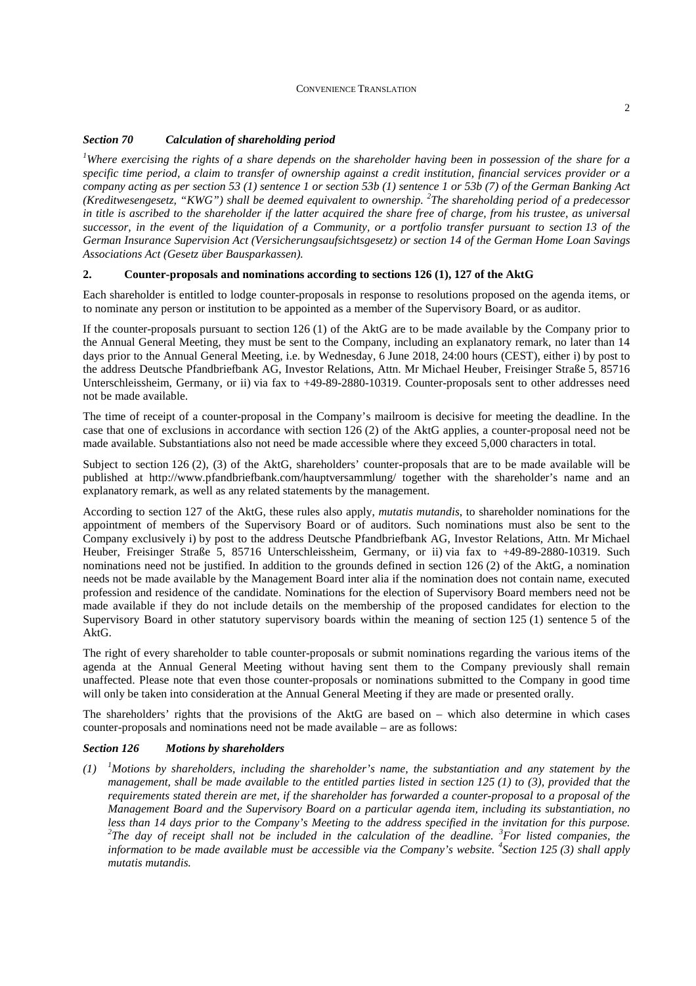# *Section 70 Calculation of shareholding period*

*<sup>1</sup>Where exercising the rights of a share depends on the shareholder having been in possession of the share for a specific time period, a claim to transfer of ownership against a credit institution, financial services provider or a company acting as per section 53 (1) sentence 1 or section 53b (1) sentence 1 or 53b (7) of the German Banking Act (Kreditwesengesetz, "KWG") shall be deemed equivalent to ownership. <sup>2</sup> The shareholding period of a predecessor in title is ascribed to the shareholder if the latter acquired the share free of charge, from his trustee, as universal successor, in the event of the liquidation of a Community, or a portfolio transfer pursuant to section 13 of the German Insurance Supervision Act (Versicherungsaufsichtsgesetz) or section 14 of the German Home Loan Savings Associations Act (Gesetz über Bausparkassen).* 

# **2. Counter-proposals and nominations according to sections 126 (1), 127 of the AktG**

Each shareholder is entitled to lodge counter-proposals in response to resolutions proposed on the agenda items, or to nominate any person or institution to be appointed as a member of the Supervisory Board, or as auditor.

If the counter-proposals pursuant to section 126 (1) of the AktG are to be made available by the Company prior to the Annual General Meeting, they must be sent to the Company, including an explanatory remark, no later than 14 days prior to the Annual General Meeting, i.e. by Wednesday, 6 June 2018, 24:00 hours (CEST), either i) by post to the address Deutsche Pfandbriefbank AG, Investor Relations, Attn. Mr Michael Heuber, Freisinger Straße 5, 85716 Unterschleissheim, Germany, or ii) via fax to +49-89-2880-10319. Counter-proposals sent to other addresses need not be made available.

The time of receipt of a counter-proposal in the Company's mailroom is decisive for meeting the deadline. In the case that one of exclusions in accordance with section 126 (2) of the AktG applies, a counter-proposal need not be made available. Substantiations also not need be made accessible where they exceed 5,000 characters in total.

Subject to section 126 (2), (3) of the AktG, shareholders' counter-proposals that are to be made available will be published at http://www.pfandbriefbank.com/hauptversammlung/ together with the shareholder's name and an explanatory remark, as well as any related statements by the management.

According to section 127 of the AktG, these rules also apply, *mutatis mutandis*, to shareholder nominations for the appointment of members of the Supervisory Board or of auditors. Such nominations must also be sent to the Company exclusively i) by post to the address Deutsche Pfandbriefbank AG, Investor Relations, Attn. Mr Michael Heuber, Freisinger Straße 5, 85716 Unterschleissheim, Germany, or ii) via fax to +49-89-2880-10319. Such nominations need not be justified. In addition to the grounds defined in section 126 (2) of the AktG, a nomination needs not be made available by the Management Board inter alia if the nomination does not contain name, executed profession and residence of the candidate. Nominations for the election of Supervisory Board members need not be made available if they do not include details on the membership of the proposed candidates for election to the Supervisory Board in other statutory supervisory boards within the meaning of section 125 (1) sentence 5 of the AktG.

The right of every shareholder to table counter-proposals or submit nominations regarding the various items of the agenda at the Annual General Meeting without having sent them to the Company previously shall remain unaffected. Please note that even those counter-proposals or nominations submitted to the Company in good time will only be taken into consideration at the Annual General Meeting if they are made or presented orally.

The shareholders' rights that the provisions of the AktG are based on – which also determine in which cases counter-proposals and nominations need not be made available – are as follows:

## *Section 126 Motions by shareholders*

*(1) <sup>1</sup>Motions by shareholders, including the shareholder's name, the substantiation and any statement by the management, shall be made available to the entitled parties listed in section 125 (1) to (3), provided that the requirements stated therein are met, if the shareholder has forwarded a counter-proposal to a proposal of the Management Board and the Supervisory Board on a particular agenda item, including its substantiation, no less than 14 days prior to the Company's Meeting to the address specified in the invitation for this purpose.*  <sup>2</sup>The day of receipt shall not be included in the calculation of the deadline. <sup>3</sup>*For listed companies, the information to be made available must be accessible via the Company's website. <sup>4</sup> Section 125 (3) shall apply mutatis mutandis.*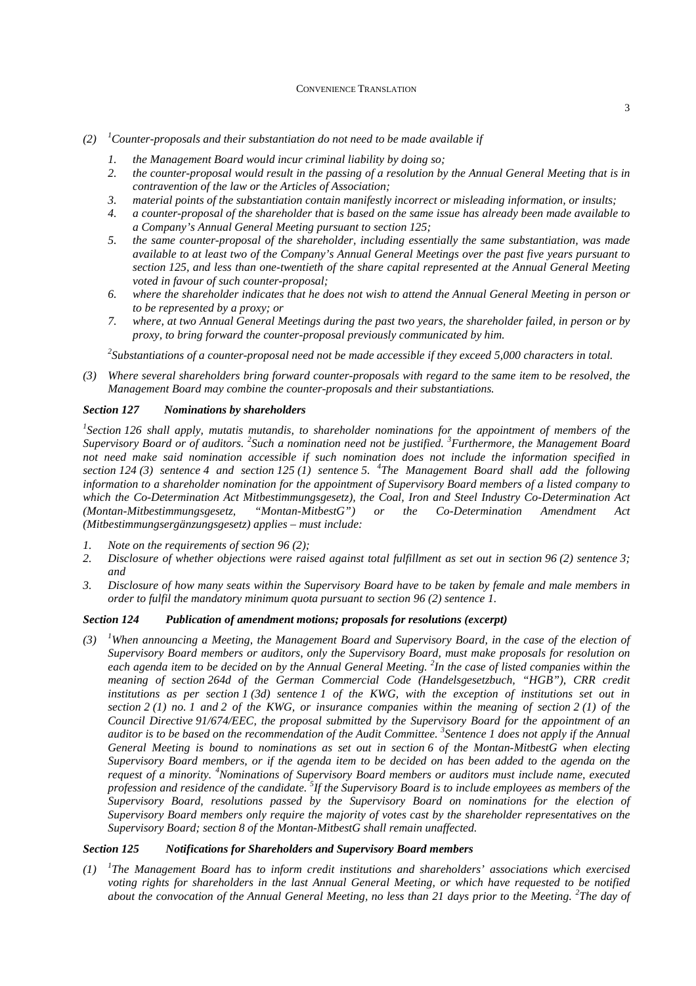- $(2)$  <sup>1</sup>*Counter-proposals and their substantiation do not need to be made available if* 
	- *1. the Management Board would incur criminal liability by doing so;*
	- *2. the counter-proposal would result in the passing of a resolution by the Annual General Meeting that is in contravention of the law or the Articles of Association;*
	- *3. material points of the substantiation contain manifestly incorrect or misleading information, or insults;*
	- *4. a counter-proposal of the shareholder that is based on the same issue has already been made available to a Company's Annual General Meeting pursuant to section 125;*
	- *5. the same counter-proposal of the shareholder, including essentially the same substantiation, was made available to at least two of the Company's Annual General Meetings over the past five years pursuant to section 125, and less than one-twentieth of the share capital represented at the Annual General Meeting voted in favour of such counter-proposal;*
	- *6. where the shareholder indicates that he does not wish to attend the Annual General Meeting in person or to be represented by a proxy; or*
	- *7. where, at two Annual General Meetings during the past two years, the shareholder failed, in person or by proxy, to bring forward the counter-proposal previously communicated by him.*

*<sup>2</sup>Substantiations of a counter-proposal need not be made accessible if they exceed 5,000 characters in total.* 

*(3) Where several shareholders bring forward counter-proposals with regard to the same item to be resolved, the Management Board may combine the counter-proposals and their substantiations.* 

# *Section 127 Nominations by shareholders*

<sup>1</sup> Section 126 shall apply, mutatis mutandis, to shareholder nominations for the appointment of members of the Supervisory Board or of auditors. <sup>2</sup> Such a nomination need not be justified. <sup>3</sup> Furthermore, the Management Board *not need make said nomination accessible if such nomination does not include the information specified in section 124 (3) sentence 4 and section 125 (1) sentence 5. <sup>4</sup> The Management Board shall add the following information to a shareholder nomination for the appointment of Supervisory Board members of a listed company to which the Co-Determination Act Mitbestimmungsgesetz), the Coal, Iron and Steel Industry Co-Determination Act (Montan-Mitbestimmungsgesetz, "Montan-MitbestG") or the Co-Determination Amendment Act (Mitbestimmungsergänzungsgesetz) applies – must include:* 

- *1. Note on the requirements of section 96 (2);*
- *2. Disclosure of whether objections were raised against total fulfillment as set out in section 96 (2) sentence 3; and*
- *3. Disclosure of how many seats within the Supervisory Board have to be taken by female and male members in order to fulfil the mandatory minimum quota pursuant to section 96 (2) sentence 1.*

## *Section 124 Publication of amendment motions; proposals for resolutions (excerpt)*

*(3) <sup>1</sup>When announcing a Meeting, the Management Board and Supervisory Board, in the case of the election of Supervisory Board members or auditors, only the Supervisory Board, must make proposals for resolution on each agenda item to be decided on by the Annual General Meeting. <sup>2</sup> In the case of listed companies within the meaning of section 264d of the German Commercial Code (Handelsgesetzbuch, "HGB"), CRR credit institutions as per section 1 (3d) sentence 1 of the KWG, with the exception of institutions set out in section 2 (1) no. 1 and 2 of the KWG, or insurance companies within the meaning of section 2 (1) of the Council Directive 91/674/EEC, the proposal submitted by the Supervisory Board for the appointment of an auditor is to be based on the recommendation of the Audit Committee. <sup>3</sup> Sentence 1 does not apply if the Annual General Meeting is bound to nominations as set out in section 6 of the Montan-MitbestG when electing Supervisory Board members, or if the agenda item to be decided on has been added to the agenda on the request of a minority. <sup>4</sup>Nominations of Supervisory Board members or auditors must include name, executed profession and residence of the candidate. <sup>5</sup> If the Supervisory Board is to include employees as members of the Supervisory Board, resolutions passed by the Supervisory Board on nominations for the election of Supervisory Board members only require the majority of votes cast by the shareholder representatives on the Supervisory Board; section 8 of the Montan-MitbestG shall remain unaffected.* 

## *Section 125 Notifications for Shareholders and Supervisory Board members*

 $(1)$ *The Management Board has to inform credit institutions and shareholders' associations which exercised voting rights for shareholders in the last Annual General Meeting, or which have requested to be notified*  about the convocation of the Annual General Meeting, no less than 21 days prior to the Meeting. <sup>2</sup>The day of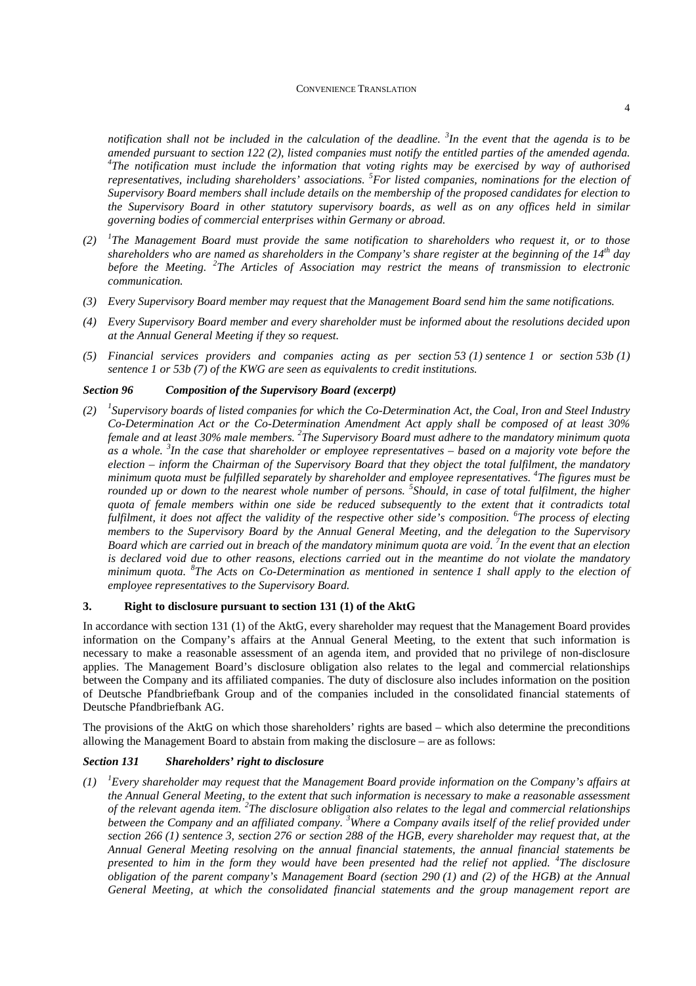*notification shall not be included in the calculation of the deadline. <sup>3</sup> In the event that the agenda is to be amended pursuant to section 122 (2), listed companies must notify the entitled parties of the amended agenda. 4 The notification must include the information that voting rights may be exercised by way of authorised representatives, including shareholders' associations. <sup>5</sup>For listed companies, nominations for the election of Supervisory Board members shall include details on the membership of the proposed candidates for election to the Supervisory Board in other statutory supervisory boards, as well as on any offices held in similar governing bodies of commercial enterprises within Germany or abroad.* 

- *(2) <sup>1</sup> The Management Board must provide the same notification to shareholders who request it, or to those shareholders who are named as shareholders in the Company's share register at the beginning of the 14th day before the Meeting. <sup>2</sup> The Articles of Association may restrict the means of transmission to electronic communication.*
- *(3) Every Supervisory Board member may request that the Management Board send him the same notifications.*
- *(4) Every Supervisory Board member and every shareholder must be informed about the resolutions decided upon at the Annual General Meeting if they so request.*
- *(5) Financial services providers and companies acting as per section 53 (1) sentence 1 or section 53b (1) sentence 1 or 53b (7) of the KWG are seen as equivalents to credit institutions.*

# *Section 96 Composition of the Supervisory Board (excerpt)*

*(2) <sup>1</sup> Supervisory boards of listed companies for which the Co-Determination Act, the Coal, Iron and Steel Industry Co-Determination Act or the Co-Determination Amendment Act apply shall be composed of at least 30% female and at least 30% male members. <sup>2</sup> The Supervisory Board must adhere to the mandatory minimum quota as a whole. <sup>3</sup> In the case that shareholder or employee representatives – based on a majority vote before the election – inform the Chairman of the Supervisory Board that they object the total fulfilment, the mandatory minimum quota must be fulfilled separately by shareholder and employee representatives. <sup>4</sup> The figures must be rounded up or down to the nearest whole number of persons. 5 Should, in case of total fulfilment, the higher quota of female members within one side be reduced subsequently to the extent that it contradicts total fulfilment, it does not affect the validity of the respective other side's composition. <sup>6</sup> The process of electing members to the Supervisory Board by the Annual General Meeting, and the delegation to the Supervisory Board which are carried out in breach of the mandatory minimum quota are void. <sup>7</sup> In the event that an election is declared void due to other reasons, elections carried out in the meantime do not violate the mandatory minimum quota. <sup>8</sup> The Acts on Co-Determination as mentioned in sentence 1 shall apply to the election of employee representatives to the Supervisory Board.* 

## **3. Right to disclosure pursuant to section 131 (1) of the AktG**

In accordance with section 131 (1) of the AktG, every shareholder may request that the Management Board provides information on the Company's affairs at the Annual General Meeting, to the extent that such information is necessary to make a reasonable assessment of an agenda item, and provided that no privilege of non-disclosure applies. The Management Board's disclosure obligation also relates to the legal and commercial relationships between the Company and its affiliated companies. The duty of disclosure also includes information on the position of Deutsche Pfandbriefbank Group and of the companies included in the consolidated financial statements of Deutsche Pfandbriefbank AG.

The provisions of the AktG on which those shareholders' rights are based – which also determine the preconditions allowing the Management Board to abstain from making the disclosure – are as follows:

# *Section 131 Shareholders' right to disclosure*

*(1) <sup>1</sup>Every shareholder may request that the Management Board provide information on the Company's affairs at the Annual General Meeting, to the extent that such information is necessary to make a reasonable assessment*  of the relevant agenda item. <sup>2</sup>The disclosure obligation also relates to the legal and commercial relationships *between the Company and an affiliated company. <sup>3</sup>Where a Company avails itself of the relief provided under section 266 (1) sentence 3, section 276 or section 288 of the HGB, every shareholder may request that, at the Annual General Meeting resolving on the annual financial statements, the annual financial statements be presented to him in the form they would have been presented had the relief not applied. <sup>4</sup> The disclosure obligation of the parent company's Management Board (section 290 (1) and (2) of the HGB) at the Annual General Meeting, at which the consolidated financial statements and the group management report are*